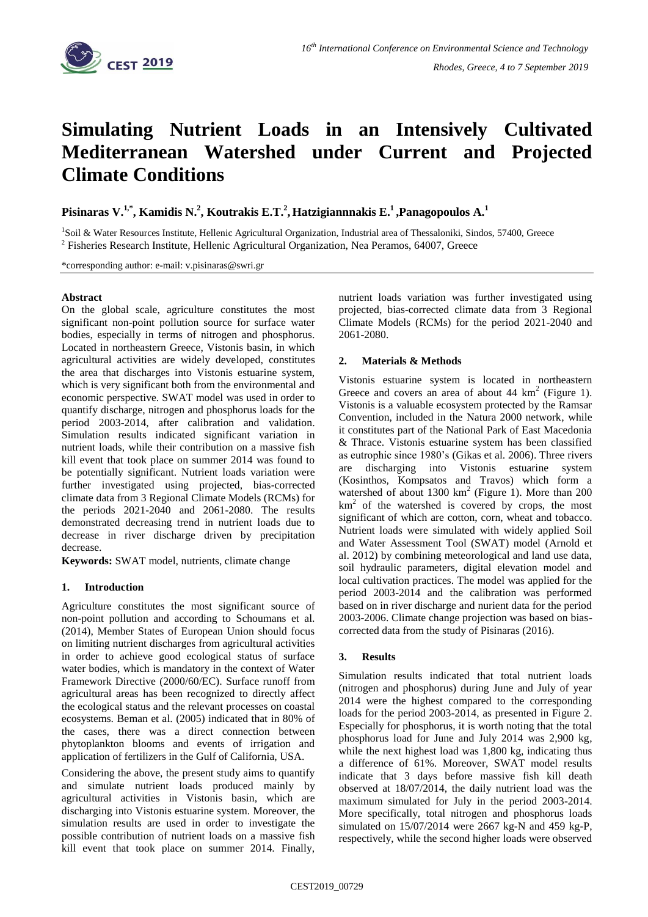

# **Simulating Nutrient Loads in an Intensively Cultivated Mediterranean Watershed under Current and Projected Climate Conditions**

**Pisinaras V.1,\* , Kamidis N. 2 , Koutrakis E.T. 2 ,Hatzigiannnakis E.<sup>1</sup> ,Panagopoulos A. 1**

<sup>1</sup>Soil & Water Resources Institute, Hellenic Agricultural Organization, Industrial area of Thessaloniki, Sindos, 57400, Greece <sup>2</sup> Fisheries Research Institute, Hellenic Agricultural Organization, Nea Peramos, 64007, Greece

\*corresponding author: e-mail: v.pisinaras@swri.gr

# **Abstract**

On the global scale, agriculture constitutes the most significant non-point pollution source for surface water bodies, especially in terms of nitrogen and phosphorus. Located in northeastern Greece, Vistonis basin, in which agricultural activities are widely developed, constitutes the area that discharges into Vistonis estuarine system, which is very significant both from the environmental and economic perspective. SWAT model was used in order to quantify discharge, nitrogen and phosphorus loads for the period 2003-2014, after calibration and validation. Simulation results indicated significant variation in nutrient loads, while their contribution on a massive fish kill event that took place on summer 2014 was found to be potentially significant. Nutrient loads variation were further investigated using projected, bias-corrected climate data from 3 Regional Climate Models (RCMs) for the periods 2021-2040 and 2061-2080. The results demonstrated decreasing trend in nutrient loads due to decrease in river discharge driven by precipitation decrease.

**Keywords:** SWAT model, nutrients, climate change

## **1. Introduction**

Agriculture constitutes the most significant source of non-point pollution and according to Schoumans et al. (2014), Member States of European Union should focus on limiting nutrient discharges from agricultural activities in order to achieve good ecological status of surface water bodies, which is mandatory in the context of Water Framework Directive (2000/60/EC). Surface runoff from agricultural areas has been recognized to directly affect the ecological status and the relevant processes on coastal ecosystems. Beman et al. (2005) indicated that in 80% of the cases, there was a direct connection between phytoplankton blooms and events of irrigation and application of fertilizers in the Gulf of California, USA.

Considering the above, the present study aims to quantify and simulate nutrient loads produced mainly by agricultural activities in Vistonis basin, which are discharging into Vistonis estuarine system. Moreover, the simulation results are used in order to investigate the possible contribution of nutrient loads on a massive fish kill event that took place on summer 2014. Finally,

nutrient loads variation was further investigated using projected, bias-corrected climate data from 3 Regional Climate Models (RCMs) for the period 2021-2040 and 2061-2080.

# **2. Materials & Methods**

Vistonis estuarine system is located in northeastern Greece and covers an area of about  $44 \text{ km}^2$  (Figure 1). Vistonis is a valuable ecosystem protected by the Ramsar Convention, included in the Natura 2000 network, while it constitutes part of the National Park of East Macedonia & Thrace. Vistonis estuarine system has been classified as eutrophic since 1980's (Gikas et al. 2006). Three rivers are discharging into Vistonis estuarine system (Kosinthos, Kompsatos and Travos) which form a watershed of about  $1300 \text{ km}^2$  (Figure 1). More than  $200$  $km<sup>2</sup>$  of the watershed is covered by crops, the most significant of which are cotton, corn, wheat and tobacco. Nutrient loads were simulated with widely applied Soil and Water Assessment Tool (SWAT) model (Arnold et al. 2012) by combining meteorological and land use data, soil hydraulic parameters, digital elevation model and local cultivation practices. The model was applied for the period 2003-2014 and the calibration was performed based on in river discharge and nurient data for the period 2003-2006. Climate change projection was based on biascorrected data from the study of Pisinaras (2016).

## **3. Results**

Simulation results indicated that total nutrient loads (nitrogen and phosphorus) during June and July of year 2014 were the highest compared to the corresponding loads for the period 2003-2014, as presented in Figure 2. Especially for phosphorus, it is worth noting that the total phosphorus load for June and July 2014 was 2,900 kg, while the next highest load was 1,800 kg, indicating thus a difference of 61%. Moreover, SWAT model results indicate that 3 days before massive fish kill death observed at 18/07/2014, the daily nutrient load was the maximum simulated for July in the period 2003-2014. More specifically, total nitrogen and phosphorus loads simulated on 15/07/2014 were 2667 kg-N and 459 kg-P, respectively, while the second higher loads were observed